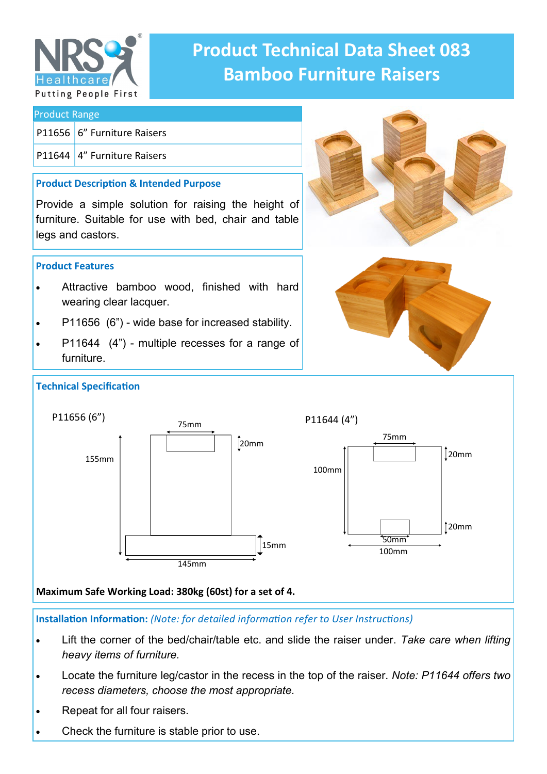

# **Product Technical Data Sheet 083 Bamboo Furniture Raisers**

## Product Range P11656 6" Furniture Raisers P11644 4" Furniture Raisers **Product Description & Intended Purpose** Provide a simple solution for raising the height of furniture. Suitable for use with bed, chair and table legs and castors. **Product Features** Attractive bamboo wood, finished with hard wearing clear lacquer.

- P11656 (6") wide base for increased stability.
- P11644 (4") multiple recesses for a range of furniture.





#### **Maximum Safe Working Load: 380kg (60st) for a set of 4.**

**Installation Information:** *(Note: for detailed information refer to User Instructions)*

- Lift the corner of the bed/chair/table etc. and slide the raiser under. *Take care when lifting heavy items of furniture.*
- Locate the furniture leg/castor in the recess in the top of the raiser. *Note: P11644 offers two recess diameters, choose the most appropriate.*
- Repeat for all four raisers.
- Check the furniture is stable prior to use.